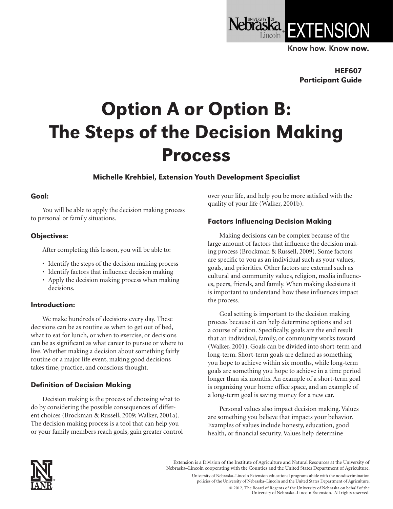

Know how. Know now.

HEF607 Participant Guide

# Option A or Option B: The Steps of the Decision Making Process

# Michelle Krehbiel, Extension Youth Development Specialist

#### Goal:

You will be able to apply the decision making process to personal or family situations.

### Objectives:

After completing this lesson, you will be able to:

- Identify the steps of the decision making process
- Identify factors that influence decision making
- Apply the decision making process when making decisions.

#### Introduction:

We make hundreds of decisions every day. These decisions can be as routine as when to get out of bed, what to eat for lunch, or when to exercise, or decisions can be as significant as what career to pursue or where to live. Whether making a decision about something fairly routine or a major life event, making good decisions takes time, practice, and conscious thought.

# Definition of Decision Making

Decision making is the process of choosing what to do by considering the possible consequences of different choices (Brockman & Russell, 2009; Walker, 2001a). The decision making process is a tool that can help you or your family members reach goals, gain greater control over your life, and help you be more satisfied with the quality of your life (Walker, 2001b).

# Factors Influencing Decision Making

Making decisions can be complex because of the large amount of factors that influence the decision making process (Brockman & Russell, 2009). Some factors are specific to you as an individual such as your values, goals, and priorities. Other factors are external such as cultural and community values, religion, media influences, peers, friends, and family. When making decisions it is important to understand how these influences impact the process.

Goal setting is important to the decision making process because it can help determine options and set a course of action. Specifically, goals are the end result that an individual, family, or community works toward (Walker, 2001). Goals can be divided into short-term and long-term. Short-term goals are defined as something you hope to achieve within six months, while long-term goals are something you hope to achieve in a time period longer than six months. An example of a short-term goal is organizing your home office space, and an example of a long-term goal is saving money for a new car.

Personal values also impact decision making. Values are something you believe that impacts your behavior. Examples of values include honesty, education, good health, or financial security. Values help determine



Extension is a Division of the Institute of Agriculture and Natural Resources at the University of Nebraska–Lincoln cooperating with the Counties and the United States Department of Agriculture.

University of Nebraska–Lincoln Extension educational programs abide with the nondiscrimination policies of the University of Nebraska–Lincoln and the United States Department of Agriculture.

> © 2012, The Board of Regents of the University of Nebraska on behalf of the University of Nebraska–Lincoln Extension. All rights reserved.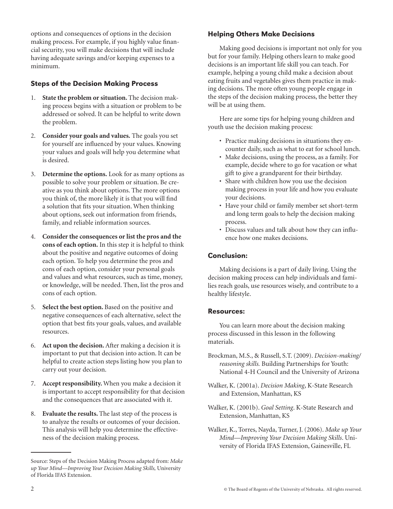options and consequences of options in the decision making process. For example, if you highly value financial security, you will make decisions that will include having adequate savings and/or keeping expenses to a minimum.

## Steps of the Decision Making Process

- 1. **State the problem or situation.** The decision making process begins with a situation or problem to be addressed or solved. It can be helpful to write down the problem.
- 2. **Consider your goals and values.** The goals you set for yourself are influenced by your values. Knowing your values and goals will help you determine what is desired.
- 3. **Determine the options.** Look for as many options as possible to solve your problem or situation. Be creative as you think about options. The more options you think of, the more likely it is that you will find a solution that fits your situation. When thinking about options, seek out information from friends, family, and reliable information sources.
- 4. **Consider the consequences or list the pros and the cons of each option.** In this step it is helpful to think about the positive and negative outcomes of doing each option. To help you determine the pros and cons of each option, consider your personal goals and values and what resources, such as time, money, or knowledge, will be needed. Then, list the pros and cons of each option.
- 5. **Select the best option.** Based on the positive and negative consequences of each alternative, select the option that best fits your goals, values, and available resources.
- 6. **Act upon the decision.** After making a decision it is important to put that decision into action. It can be helpful to create action steps listing how you plan to carry out your decision.
- 7. **Accept responsibility.** When you make a decision it is important to accept responsibility for that decision and the consequences that are associated with it.
- 8. **Evaluate the results.** The last step of the process is to analyze the results or outcomes of your decision. This analysis will help you determine the effectiveness of the decision making process.

# Helping Others Make Decisions

Making good decisions is important not only for you but for your family. Helping others learn to make good decisions is an important life skill you can teach. For example, helping a young child make a decision about eating fruits and vegetables gives them practice in making decisions. The more often young people engage in the steps of the decision making process, the better they will be at using them.

Here are some tips for helping young children and youth use the decision making process:

- Practice making decisions in situations they encounter daily, such as what to eat for school lunch.
- Make decisions, using the process, as a family. For example, decide where to go for vacation or what gift to give a grandparent for their birthday.
- Share with children how you use the decision making process in your life and how you evaluate your decisions.
- Have your child or family member set short-term and long term goals to help the decision making process.
- Discuss values and talk about how they can influence how one makes decisions.

#### Conclusion:

Making decisions is a part of daily living. Using the decision making process can help individuals and families reach goals, use resources wisely, and contribute to a healthy lifestyle.

#### Resources:

You can learn more about the decision making process discussed in this lesson in the following materials.

- Brockman, M.S., & Russell, S.T. (2009). *Decision-making/ reasoning skills.* Building Partnerships for Youth: National 4-H Council and the University of Arizona
- Walker, K. (2001a). *Decision Making*, K-State Research and Extension, Manhattan, KS
- Walker, K. (2001b). *Goal Setting*. K-State Research and Extension, Manhattan, KS

Walker, K., Torres, Nayda, Turner, J. (2006). *Make up Your Mind—Improving Your Decision Making Skills*. University of Florida IFAS Extension, Gainesville, FL

Source: Steps of the Decision Making Process adapted from: *Make up Your Mind—Improving Your Decision Making Skills,* University of Florida IFAS Extension.